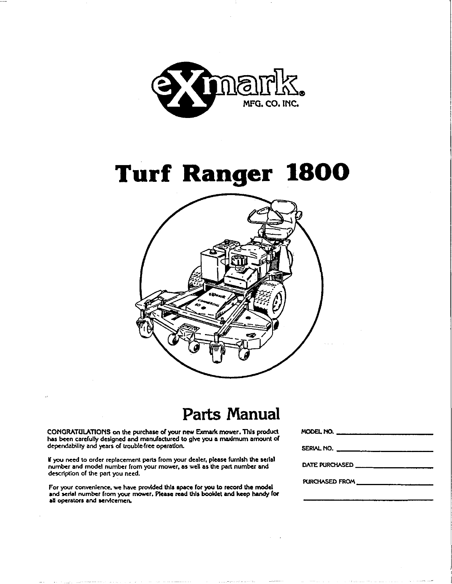

# **Turf Ranger 1800**



## **Parts Manual**

CONGRATULATIONS on the purchase of your new Exmark mower. This product has been carefully designed and manufactured to give you a maximum amount of dependability and years of trouble-free operation.

If you need to order replacement parts from your dealer, please furnish the serial number and model number from your mower, as well as the part number and description of the part you need.

For your convenience, we have provided this space for you to record the model<br>and serial number from your mower. Please read this booklet and keep handy for all operators and servicemen.

| MODEL NO. __________________________ |  |
|--------------------------------------|--|
| SERIAL NO. _______________________   |  |
|                                      |  |
| NIONU LEEN EDAU                      |  |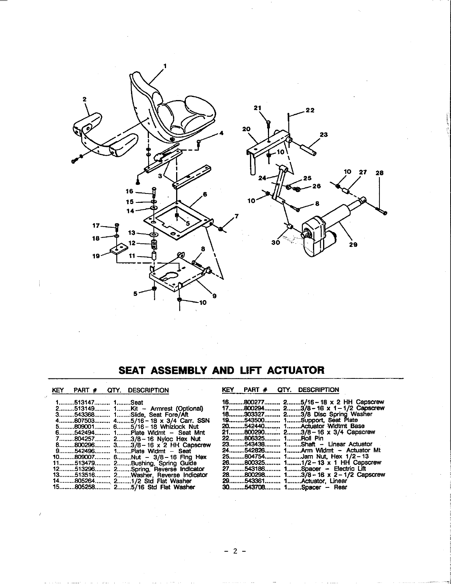

### **SEAT ASSEMBLY AND LIFT ACTUATOR**

 $\overline{2}$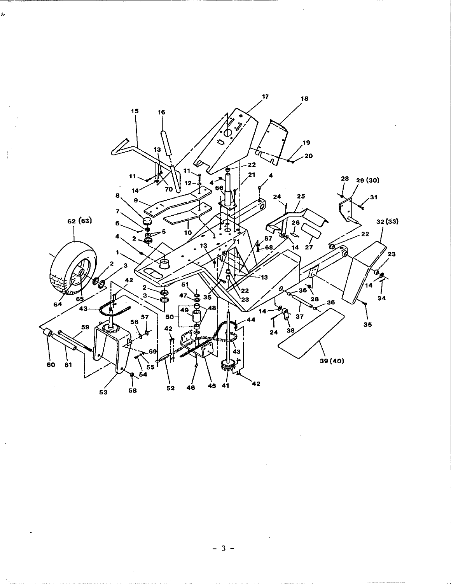

ķ,

 $\ddot{\phantom{a}}$ 

 $\mathcal{O}(\mathcal{O})$ 

#### $- 3 -$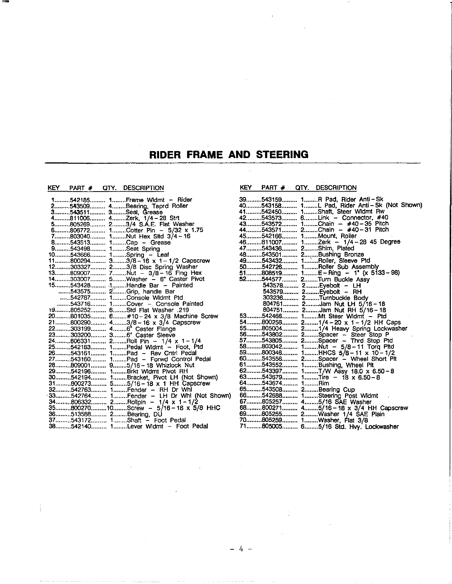### **RIDER FRAME AND STEERING**

- 4 -

*(j* 

| 1542185 1Frame Widmt - Rider                                                                  |
|-----------------------------------------------------------------------------------------------|
| 2543509 4Bearing, Taprd Roller                                                                |
|                                                                                               |
|                                                                                               |
|                                                                                               |
|                                                                                               |
|                                                                                               |
|                                                                                               |
|                                                                                               |
| 9543498 1Seat Spring<br>10543666 1Spring - Leaf                                               |
|                                                                                               |
|                                                                                               |
|                                                                                               |
|                                                                                               |
| 15543428 4Handle Bar - Painted                                                                |
| 543575 2Grip, handle Bar<br>542787 1Console Widmt Ptd                                         |
|                                                                                               |
| 543716 1Cover - Console Painted                                                               |
| 19805252 6Std Flat Washer .219                                                                |
| 20801035 6 #10 - 24 x 3/8 Machine Screw                                                       |
| 21800290 43/8 - 16 x 3/4 Capscrew<br>22303199 46" Caster Flange<br>23303200 36" Caster Sleeve |
|                                                                                               |
|                                                                                               |
|                                                                                               |
|                                                                                               |
|                                                                                               |
|                                                                                               |
| 28809001 95/16 - 18 Whizlock Nut                                                              |
| 29542196 1Brkt Widmt Pivot RH                                                                 |
| 30542194 1Bracket, Pivot LH (Not Shown)                                                       |
| 31800273 55/16 - 18 x 1 HH Capscrew                                                           |
| 32542763 1Fender - RH Dr Whi                                                                  |
| 33542764 1Fender - LH Dr Whi (Not Shown)                                                      |
| $34$ 806332 2Rollpin - $1/4 \times 1 - 1/2$                                                   |
| 3580027010Screw - 5/16 - 18 x 5/8 HHC                                                         |
| 36513588 2Bearing, DU<br>37543172 1Shaft - Foot Pedal                                         |
|                                                                                               |
| 38542140 1Lever Widmt - Foot Pedal                                                            |
|                                                                                               |

#### KEY PART # QTY. DESCRIPTION KEY PART # QTY. DESCRIPTION

|  | 39543159 1R Pad, Rider Anti-Sk                                                                          |
|--|---------------------------------------------------------------------------------------------------------|
|  | 40543158 1L Pad, Rider Anti-Sk (Not Shown)<br>41542450 1Shaft, Steer Widmt Pw                           |
|  |                                                                                                         |
|  | 42543573 6Link - Connector, #40<br>43543573 6Chain - #40 - 35 Pitch<br>44543571 2Chain - #40 - 31 Pitch |
|  |                                                                                                         |
|  |                                                                                                         |
|  | 45542166 1Mount, Roller                                                                                 |
|  | 46811007 1Zerk - 1/4-28 45 Degree                                                                       |
|  | 47543436 2Shim, Plated                                                                                  |
|  |                                                                                                         |
|  | 48543501 2Bushing Bronze<br>49543432 1Roller, Sleeve Ptd                                                |
|  | 50542726 1Roller Sub Assembly                                                                           |
|  | 51808519 1E-Ring - 1" (x 5133-98)                                                                       |
|  | 52544577 2Turn Buckle Assy                                                                              |
|  |                                                                                                         |
|  | 543578 2Eyebolt – LH<br>543579 2Eyebolt – RH                                                            |
|  | 303236 2Turnbuckle Body                                                                                 |
|  | 804761 2Jam Nut LH 5/16 – 18                                                                            |
|  |                                                                                                         |
|  | 804751 2Jam Nut RH 5/16-18<br>53542466 1Mt Steer Widmt - Ptd                                            |
|  | 54800256 21/4-20 x 1-1/2 HH Caps                                                                        |
|  | 55805004 21/4 Heavy Spring Lockwasher                                                                   |
|  | 56543802 2Spacer - Steer Stop P                                                                         |
|  |                                                                                                         |
|  |                                                                                                         |
|  |                                                                                                         |
|  |                                                                                                         |
|  |                                                                                                         |
|  |                                                                                                         |
|  | 62543397 1T/W Assy 18.0 x 6.50 - 8<br>63543679 1Tire - 18 x 6.50 - 8                                    |
|  |                                                                                                         |
|  | 64543674 1Rim<br>65543508 2Bearing Cup                                                                  |
|  | 66542688 1Steering Post Widmt                                                                           |
|  | 67805257 45/16 SAE Washer                                                                               |
|  |                                                                                                         |
|  | 68800271 45/16 - 18 x 3/4 HH Capscrew<br>69805255 2Washer 1/4 SAE Plain                                 |
|  | 70805259 1Washer, Flat 3/8                                                                              |
|  | 71805005 65/16 Std. Hvy. Lockwasher                                                                     |
|  |                                                                                                         |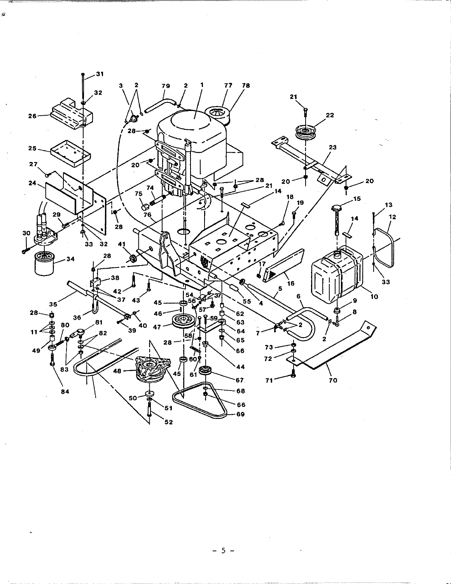

ø

 $-5 -$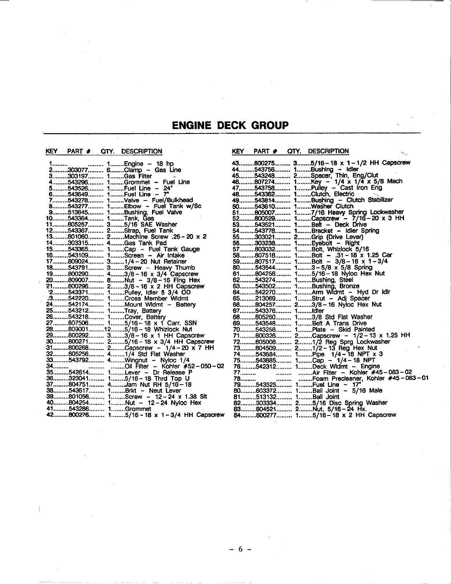### **ENGINE DECK GROUP**

J.

,

*(()* 

| $PART$ $*$<br>QTY. DESCRIPTION<br>KEY.                                                                                                                                                                                              | <b>KEY</b><br>PART # QTY, DESCRIPTION                                                           |
|-------------------------------------------------------------------------------------------------------------------------------------------------------------------------------------------------------------------------------------|-------------------------------------------------------------------------------------------------|
|                                                                                                                                                                                                                                     | 43800275 35/16-18 x 1-1/2 HH Capscrew                                                           |
|                                                                                                                                                                                                                                     | 44543756 1Bushing - Idler                                                                       |
| 3303197 1Gas Filter                                                                                                                                                                                                                 | 45543248 2Spacer, Thin, Eng/Clut                                                                |
| 3303197 1Gas Filter<br>4543296 1Grommet – Fuel Line<br>5543526 1Fuel Line – 24"                                                                                                                                                     | 46807274 1Key - 1/4 x 1/4 x 5/8 Mach<br>47543758 1Pulley - Cast Iron Eng                        |
| 5543526 1Fuel Line - 24"                                                                                                                                                                                                            |                                                                                                 |
| 6543649 1Fuel Line - 7"<br>6543649 1Yalve – Fuel/Bulkhead<br>7543278 1Elbow – Fuel Tank w/Sc<br>8543277 1Elushing, Fuel Valve<br>10543364 1Tank, Gas<br>11                                                                          | 48543362 1Clutch, Electric                                                                      |
|                                                                                                                                                                                                                                     | 49543814 1Bushing - Clutch Stabilizer<br>50543610 1Washer Clutch                                |
|                                                                                                                                                                                                                                     |                                                                                                 |
|                                                                                                                                                                                                                                     | 51805007 17/16 Heavy Spring Lockwasher                                                          |
| 9513645 1Bushing, Fuel Valve<br>10513645 1Tank, Gas<br>11805257 35/16 SAE Washer<br>12543367 2Strap, Fuel Tank<br>13801060                                                                                                          | 52800529 1Capscrew - 7/16-20 x 3 HH<br>53543521 1Belt - Deck Drive                              |
|                                                                                                                                                                                                                                     |                                                                                                 |
|                                                                                                                                                                                                                                     | 54543778 1Bracket - Idler Spring                                                                |
|                                                                                                                                                                                                                                     | 55303021 2Grip (Drive Lever)                                                                    |
|                                                                                                                                                                                                                                     | 56303238 1Eyebolt - Right 1<br>57803032 1Bolt, Whizlock 5/16                                    |
|                                                                                                                                                                                                                                     |                                                                                                 |
|                                                                                                                                                                                                                                     | 58807518 1Bolt - .31 - 18 x 1.25 Car                                                            |
|                                                                                                                                                                                                                                     |                                                                                                 |
| 15543365 1Gap - Fuel Tank Gauge<br>16543109 1Screen - Air Intake<br>17809024 31/4 - 20 Nut Retainer<br>18800290 3Screw - Heavy                                                                                                      | 59807517 1Bolt - 3/8 - 16 x 1 - 3/4<br>60543544 13 - 5/8 x 5/8 Spring                           |
|                                                                                                                                                                                                                                     | 61804256 15/16 - 18 Nyloc Hex Nut                                                               |
|                                                                                                                                                                                                                                     | 62543274 1Bushing, Steel<br>63543502 1Bushing, Bronze<br>64542270 1Arm Widmt - Hyd Dr Idir      |
|                                                                                                                                                                                                                                     |                                                                                                 |
|                                                                                                                                                                                                                                     |                                                                                                 |
|                                                                                                                                                                                                                                     | 65213069 1Strut - Adj Spacer<br>66804257 23/8 - 16 Nyloc Hex Nut                                |
|                                                                                                                                                                                                                                     |                                                                                                 |
|                                                                                                                                                                                                                                     | 67543376 1Idler                                                                                 |
|                                                                                                                                                                                                                                     |                                                                                                 |
| .3542220 1Uross member virtus.<br>24542174 1Mount Widmt - Battery<br>25543212 1Tray, Battery<br>26543218 1Cover, Battery<br>27<br>26543218 1Cover, Battery<br>27807506 15/16 - 18 x 1 Carr. SSN<br>28809001125/16 - 18 Whizlock Nut | 68805260 13/8 Std Flat Washer<br>69543548 1Belt A Trans Drive<br>70543258 1Plate - Skid Painted |
|                                                                                                                                                                                                                                     |                                                                                                 |
| 29800292 33/8 - 16 x 1 HH Capscrew                                                                                                                                                                                                  | 71800326 2Capscrew - 1/2-13 x 1.25 HH                                                           |
|                                                                                                                                                                                                                                     |                                                                                                 |
| 30800271 25/16 – 18 x 3/4 НН Сарѕсгеw<br>31800268 2Сарѕсгеw_ – 1/4 – 20 x 7 НН                                                                                                                                                      | 72805008 21/2 Reg Sprg Lockwasher<br>73804509 21/2 - 13 Reg Hex Nut                             |
| 32805256 41/4 Std Flat Washer                                                                                                                                                                                                       | 74543684 1Pipe 1/4-18 NPT x 3                                                                   |
| 33543792 4 Wingnut - Nyloc 1/4                                                                                                                                                                                                      | 75543685 1Cap - 1/4-18 NPT<br>76542312 1Deck Widmt - Engine                                     |
|                                                                                                                                                                                                                                     |                                                                                                 |
|                                                                                                                                                                                                                                     |                                                                                                 |
|                                                                                                                                                                                                                                     |                                                                                                 |
|                                                                                                                                                                                                                                     |                                                                                                 |
|                                                                                                                                                                                                                                     |                                                                                                 |
|                                                                                                                                                                                                                                     |                                                                                                 |
|                                                                                                                                                                                                                                     |                                                                                                 |
|                                                                                                                                                                                                                                     |                                                                                                 |
| 42800276 15/16-18 x 1-3/4 HH Capscrew                                                                                                                                                                                               | 84800277 15/16-18 x 2 HH Capscrew                                                               |

 $-6 -$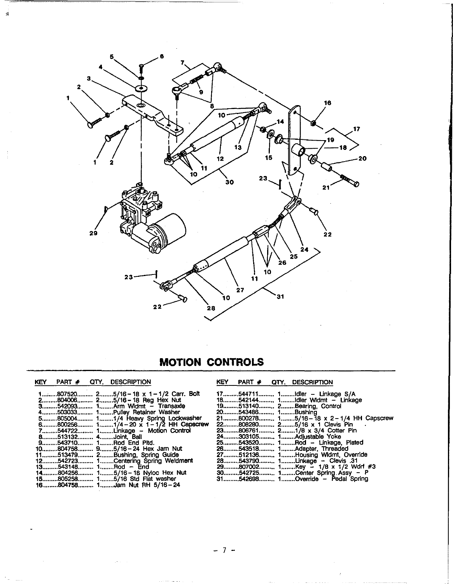

-di

#### **MOTION CONTROLS**

#### PART # QTY. DESCRIPTION PART # **KEY KEY** QTY. DESCRIPTION ........807520......... 2........5/16 -- 18 x 1 -- 1/2 Carr. Bolt<br>.........804006......... 2........5/16 -- 18 Reg Hex Nut<br>........542093......... 1........Arm Widmt -- Transaxle 17.........544711......... 1.........Idler - Linkage S/A<br>18.........542144......... 1........Idler Widmt - Linkage<br>19.........513140......... 2........Bearing, Control 3. ........503033......... 1.........Pulley Retainer Washer<br>.........805004......... 1.........1/4 Heavy Spring Lockwasher<br>.........800256........ 1.........1/4 Heavy Spring Lockwasher<br>.........544722......... 1........Linkag 6 25.........543520......... 1........Rod - Linkage, Plated 16.........804758......... 1........Jam Nut RH 5/16-24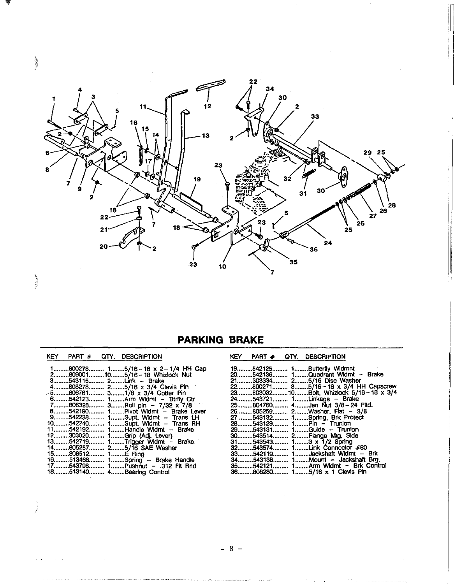

### **PARKING BRAKE**

| KEY PART # QTY. DESCRIPTION        | KEY PART # QTY, DESCRIPTION    |
|------------------------------------|--------------------------------|
| 1800278 15/16-18 x 2-1/4 HH Cap    | 19542125 1Butterfly Widmnt     |
| 2809001105/16-18 Whizlock Nut      | 20542136 1Quadrant Widmt -     |
| 3543115 2Link - Brake              | 21303334 25/16 Disc Washer     |
| 4808278 25/16 x 3/4 Clevis Pin     | 22800271 85/16 - 18 x 3/4 HH   |
| .5806761 31/8 x 3/4 Cotter Pin     | 2380303210Bolt, Whizlock 5/16  |
| 6542123 1Arm Widmt - Btrfly Ctr    | 24543721 1Linkage - Brake      |
| 7806328 3Roll pin - 7/32 x 7/8     | 25804760 4Jan Nut 3/8 - 24 Pit |
| 8542190 1Pivot Widmt - Brake Lever | 26805259 2Washer, Flat - 3/8   |
| 9542238 1Supt. Widmt - Trans LH    | 27543132 1Spring, Brk Protect  |
| 10542240 1Supt. Widmt - Trans RH   | 28543129 1Pin - Trunion        |
| 11542192 1Handle Widmt - Brake     | 29543131 1Guide - Trunion      |
| 12303020 1Grip (Adj. Lever)        | 30543514 2Flange Mtg, Side     |
| 13542719 1Trigger Widmt - Brake    | 31543543 13 x 1/2 Spring       |
| 14805257 25/16 SAE Washer          | 32543574 1Link Connector #60   |
| 15808512 1E Ring                   | 33542119 1Jackshaft Widmt -    |
| 16513468 1Spring - Brake Handle    | 34543138 1Mount - Jackshaft    |
| 17543798 1Pushnut - .312 Fit Rnd   | 35542121 1Arm Widmt - Brk      |
| 18513140 4Bearing Control          | 36808280 15/16 x 1 Clevis Pin  |
|                                    |                                |

 $\sim$  1

| KEY |  | PART # QTY, DESCRIPTION                  |
|-----|--|------------------------------------------|
|     |  | 19542125 1Butterfly Widmnt               |
|     |  | 20542136 1Quadrant Widmt - Brake         |
|     |  | 21303334 25/16 Disc Washer               |
|     |  | 22800271 85/16-18 x 3/4 HH Capscrew      |
|     |  | 2380303210Bolt, Whizlock 5/16 - 18 x 3/4 |
|     |  | 24543721 1Linkage - Brake                |
|     |  | 25804760 4Jan Nut 3/8-24 Pitd.           |
|     |  | 26805259 2Washer, Flat - 3/8             |
|     |  | 27543132 1Spring, Brk Protect            |
|     |  | 28543129 1Pin - Trunion                  |
|     |  | 29543131 1Guide - Trunion                |
|     |  | 30543514 2 Flange Mtg, Side              |
|     |  | 31543543 13 x 1/2 Spring                 |
|     |  | 32543574 1Link Connector #60             |
|     |  | 33542119 1Jackshaft Widmt - Brk          |
|     |  | 34543138 1Mount - Jackshaft Brg.         |
|     |  | 35542121 1Arm Widmt - Brk Control        |
|     |  | 36808280 15/16 x 1 Clevis Pin            |

 $\mathcal{L}^{\pm}$  .

- 8 -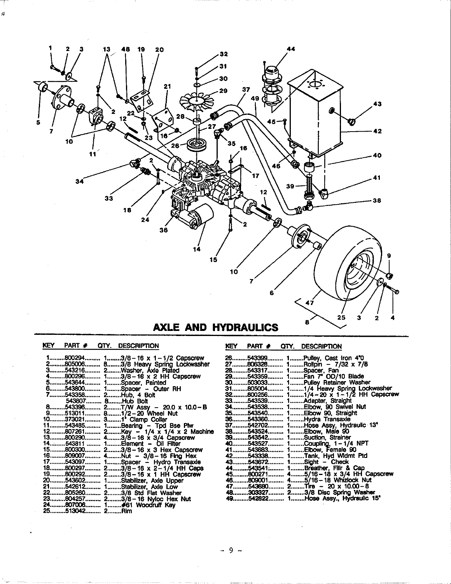

#### **AXLE AND HYDRAULICS**

### KEY PART # QTY. DESCRIPTION KEY PART # QTY. DESCRIPTION 1.........800294......... 1........3/8 - 16 x 1 - 1/2 Capscrew 2 ......... 805006......... 8 ........ 3/8 Heavy Spring Lockwasher 3.........543216......... 2........Washer, Axle Plated<br>4.........800296......... 1.........3/8 – 16 x 2 HH Capscrew 5 ......... 543644 ......... L. ..... Spacer, Painted 6.........543800......... 1........Spacer - Outer RH .....543358 ......... 2 ..........Hub, 4 Bolt 543807......... 8........Hub Bolt 8.........543396......... 2........T/W Assy - 20.0 x 10.0-B 9.........513011......... 8........1/2-20 Wheel Nut 10 ......... 373021.. ....... 3 ........ 1 Clamp Coll@r <sup>1</sup>1... ...... 543485 ......... L. ..... Bearing - Tpd Bse Plw 12 ......... 807261... ...... 2 ........ Kev - 1/4 X 1/4 X 2 Machine 13 ......... 800290 ......... 4 ........ 3/S -16 x 3/4 Capscrew 14 ......... 543811 ........ L. ..... Eiement - Oil Fi~er 15 ......... 800300 ......... 2 ........ 3/8 -16 x 3 Hex Capscrew 16 ......... 809007 ......... 4 ........ Nut - 3/8-16 Rng Hex 17 ......... 543097 ......... L. ..... Spacer - Hydro Transaxle 18 ......... 800297 ......... 2 ........ 3/8-16 x 2-1/4 HH Ceps 19.........800292.......... 2........3/8 – 16 x 1 HH Capscrew<br>20.........543602......... 1........Stabilizer, Axle Upper<br>21.........542612......... 1........Stabilizer, Axle Low<br>22.........805260......... 2........3/8 Std 24.........807006......... 1.........#61 Woodruff Key<br>25.........513042......... 2........Rim

### 26 ......... 543399 ......... 1.. ...... Pulley, Cast Iron 4'0 27 ......... 806328......... L. ..... Rollprn - 7/32 x 7/8 28 .........543317 ......... 1..........Spacer, Fan 29 ......... 543358 ......... L. ..... Fan 7' OD/10 Blade 30 ......... 503033......... 1.. ...... Pulley Ratainer Washer 31... ...... 805004 ......... 1... ..... 1/4 Heavy Spring Lockwasher 32 ......... 800256 ......... 1... ..... 1/4-20 X 1-1/2 HH Cspscrew 33 ......... 543539......... L. ..... Adapter, StraiQhl 34 ......... 543538 ......... L ..... Eibow, 90 Swrvel Nut 35 ......... 543540 ......... 1 ........ Eibow 90, Straight 36 ......... 543360......... 1.. ...... Hydra Transaxle 37 ......... 542702 ......... L. ..... Hose Assy, Hydraulic 13' 38 ......... 543524......... L. ..... Eibow, Male 90 39 ......... 543542......... 1 ........ Suction, Strainer 40 ......... 543527 ......... L. ..... Coupling, 1-1/4 NPT 41.........543683......... 1........Elbow, Female 90<br>42.........543338......... 1........Tank, Hyd Widmt Ptd<br>43.........543672......... 1........Sight – Check<br>44.........543541......... 1........Breather, Filir & Cap<br>45... 48 ......... 809001... ...... 4 ........ 5/16-18 Whizlock Nut 47 ......... 543660 ......... 2 ........ T1re - 20 x 10.00-8 48 ......... 303327 ......... 2 ....... .3/8 Disc Spring Washer 49 ......... 542822 ......... 1 ........ Hose Assy., Hjdraulic 15'

 $-9 -$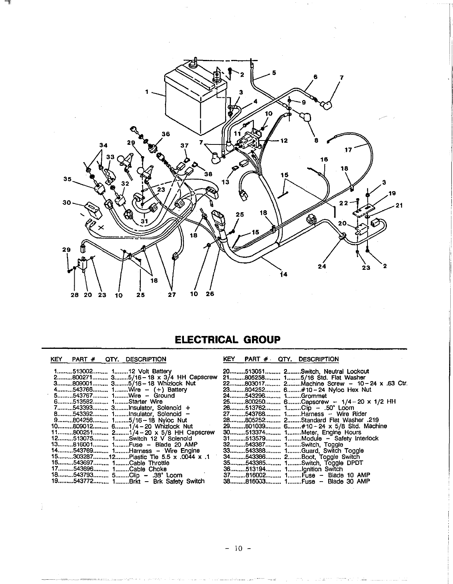

### ELECTRICAL GROUP

| KEY PART # QTY, DESCRIPTION                    | <b>KEY</b><br><b>PART # QTY, DESCRIPTION</b> |
|------------------------------------------------|----------------------------------------------|
| 1513002 1 12 Volt Battery                      | 20513051 2Switch, Neutral Lockout            |
| 2800271 35/16-18 x 3/4 HH Capscrew             | 21805258 15/16 Std. Flat Washer              |
| 3809001 35/16 - 18 Whizlock Nut                | 22803017 2Machine Screw - 10-24 x .63 Ctr.   |
| 4543766 1Wire $- (+)$ Battery                  | 23804252 6#10 - 24 Nyloc Hex Nut             |
| 5543767 1Wire - Ground                         | 24543296 1Grommet                            |
| 6513582 1Starter Wire                          | $25$ 800250 6Capscrew - 1/4 - 20 x 1/2 HH    |
| 7543393 3Insulator, Solenoid +                 | $26$ 513762 1Clip $-50^{\circ}$ Loom         |
| 8543392 1Insulator, Solenoid -                 | 27543768 1Harness - Wire Rider               |
| 9804256 15/16 - 18 Nyloc Nut                   | 219. 28805252 2Standard Flat Washer          |
| 10809012 61/4 - 20 Whizlock Nut                | 29801039 6#10 - 24 x 5/8 Sitd. Machine       |
| 11800251 21/4-20 x 5/8 HH Capscrew             | 30513374 1Meter, Engine Hours                |
| 12513075 1Switch 12 V Solenoid                 | 31513579 1Module - Safety Interlock          |
| 13816001 1Fuse - Blade 20 AMP                  | 32543387 1Switch, Toggle                     |
| 14543769 1Harness - Wire Engine                | 33543388 1Guard, Switch Toggle               |
| 1. x .0044 x .1. Plastic Tie 5.5 x .0044 x .1. | 34543386 2Boot, Toggle Switch                |
| 16543697 1Cable Throttle                       | 35543385 1Switch, Toggle DPDT                |
| 17543696 1Cable Choke                          | 36513194 1Ignition Switch                    |
| 18543793 5Clip - .38" Loom                     | 37816002 1Fuse - Blade 10 AMP                |
| 19543772 1Brkt - Brk Safety Switch             | 38816003 1Fuse - Blade 30 AMP                |

 $\hat{\mathcal{I}}$ 

 $-10 -$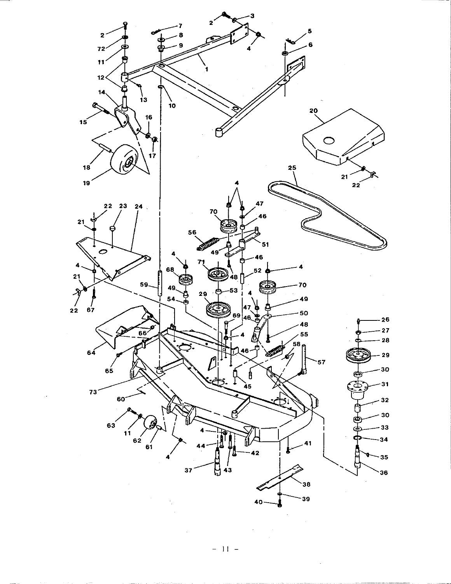

 $-11 -$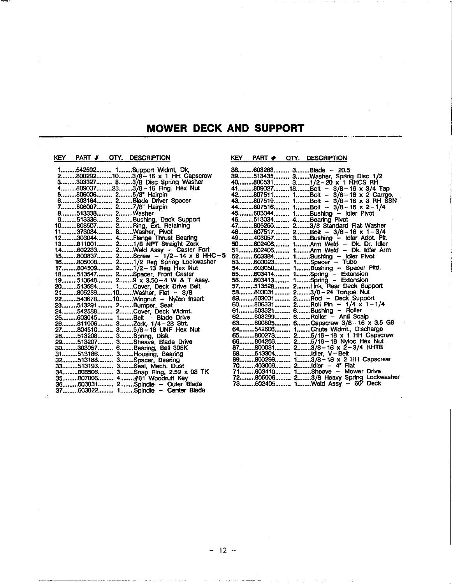### **MOWER DECK AND SUPPORT**

| PART # QTY. DESCRIPTION<br><b>KEY</b>                              | KEY I<br>PART # QTY, DESCRIPTION                                           |
|--------------------------------------------------------------------|----------------------------------------------------------------------------|
|                                                                    |                                                                            |
| 1542592 1Support Widmt, Dk.<br>2800292103/8 - 16 x 1 HH Capscrew   | 38603283 3Blade - 20.5                                                     |
|                                                                    | 39513435 3Washer, Spring Disc 1/2                                          |
| 3303327 83/8 Disc Spring Washer<br>4809007233/8 - 16 Fing. Hex Nut | 40800531 31/2-20 x 1 HHCS RH<br>4180902718Bolt - 3/8-16 x 3/4 Tap          |
|                                                                    |                                                                            |
| 5806006 25/8* Hairpin<br>6303164 2Blade Driver Spacer              | 42807511 1Bolt - 3/8-16 x 2 Carrge.<br>43807519 1Bolt - 3/8-16 x 3 RH SSN  |
| 7806007 27/8" Hairpin                                              | 44807516 1Bolt - 3/8 - 16 x 2 - 1/4                                        |
| 8513338 2 Washer                                                   |                                                                            |
| 9513336 2Bushing, Deck Support                                     | 45603044 1Bushing - Idler Pivot<br>46513034 4Bearing Pivot                 |
| 10808507 2Ring, Ext. Retaining                                     | 47805260 23/8 Standard Flat Washer                                         |
| 11373034 8Washer, Pivot                                            | 48807517 2Bolt - 3/8 - 16 x 1 - 3/4                                        |
| 12303044 4Flange Thrust Bearing                                    |                                                                            |
| 13811001 21/8 NPT Straight Zerk                                    | 49403057 3Bushing - Idler Adpt. Pit.<br>50602408 1Arm Weld - Dk. Dr. Idler |
|                                                                    | 51602406 1Arm Weld - Dk. Idler Arm                                         |
|                                                                    |                                                                            |
|                                                                    | 52603384 1Bushing – Idler Pivot<br>53603023 1Spacer – Tube                 |
|                                                                    | 54603050 1Bushing - Spacer Pltd.<br>55603414 1Spring - Extension           |
| 18513547 2Spacer, Front Caster                                     |                                                                            |
| 19513648 29 x 3.50 - 4 W & T Assy.                                 | 56603413 1Spring - Extension                                               |
| 20543584 1Cover, Deck Drive Belt                                   | 57513528 2Link, Rear Deck Support                                          |
| 2180525910Washer Flat - 3/8                                        | 58803031 23/8 - 24 Torque Nut                                              |
| 2254367810Wingnut – Nylon Insert                                   | 59603001 2Rod - Deck Support                                               |
| 23513291 2Bumper, Seat                                             | 60806331 2Roll Pin - 1/4 x 1-1/4                                           |
| 24542588 2Cover, Deck Widmt.<br>25603045 1Belt - Blade Drive       | 61603321 6Bushing - Roller                                                 |
|                                                                    | 62603299 6Roller - Anti Scalp                                              |
| 26811006 3Zerk, 1/4-28 Strt.                                       | 63800805 6Capscrew 3/8-16 x 3.5 G8<br>64542606 1Chute Widmt., Discharge    |
| 27804510 35/8 - 18 UNF Hex Nut                                     |                                                                            |
| 28513208 3Spring, Disk<br>29513207 3Sheave, Blade Drive            | 65800273 25/16-18 x 1 HH Capscrew                                          |
|                                                                    | 66804256 25/16-18 Nyloc Hex Nut                                            |
| 30303057 6Bearing, Ball 305K                                       | 67600031 23/8 - 16 x 2 - 3/4 HHTB                                          |
| 31513186 3Housing, Bearing                                         |                                                                            |
| 32513188 3Spacer, Bearing                                          |                                                                            |
|                                                                    |                                                                            |
|                                                                    | 71603410 1Sheave - Mower Drive                                             |
|                                                                    | 72805006 23/8 Heavy Spring Lockwasher<br>73602405 1Weld Assy - 60* Deck    |
|                                                                    |                                                                            |
| 37603022 1Spindle - Center Blade                                   |                                                                            |

 $- 12 -$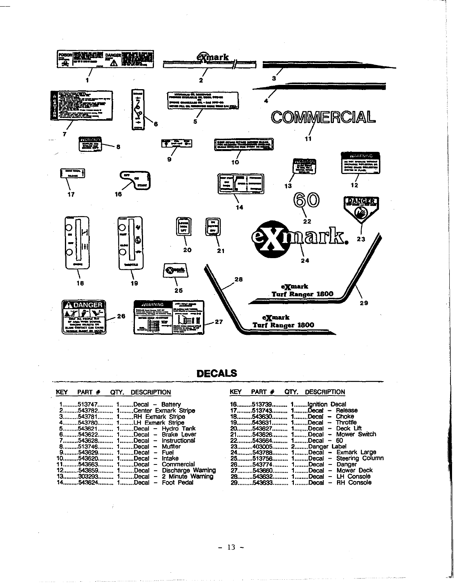

*n ..* . \\! \ *.. Y* '

---,

**DECALS** 

| <b>KEY</b><br><b>DESCRIPTION</b><br>PART $\neq$<br>QTY. | <b>KEY</b><br><b>DESCRIPTION</b><br>PART #<br>QTY. |
|---------------------------------------------------------|----------------------------------------------------|
| 1513747 1Decal - Battery                                | 16513739 1Ignition Decal                           |
| 2543782 1Center Exmark Stripe                           | 17513743 1Decal - Release                          |
| 3543781 1RH Exmark Stripe                               | 18543630 1Decal - Choke                            |
| 4543780 1LH Exmark Stripe                               | 19543631 1Decal - Throttle                         |
| 5543621 1Decal - Hydro Tank                             | 20543627 1Decal - Deck Lift                        |
| 6543622 1Decal - Brake Lever                            | 21543626 1Decal - Mower Switch                     |
| 7543628 1Decal - Instructional                          | 22543664 1Decal - 60                               |
| 8513746 1Decal - Muffler                                | 23403005 2Danger Label                             |
| 9543629 1Decal - Fuel                                   | 24543788 1Decal - Exmark Large                     |
| 10543620 1Decal - Intake                                | 25513756 1Decal - Steering Column                  |
| 11543663 1Decal - Commercial                            | 26543774 1Decal - Danger                           |
| 12543659 1Decal - Discharge Warning                     | 27543660 1Decal - Mower Deck                       |
| 13303293 1Decal - 2 Minute Warning                      | 28543632 1Decal - LH Console                       |
| 14543624 1Decal - Foot Pedal                            | 29543633 1Decal - RH Console                       |
|                                                         |                                                    |

 $\sim$  1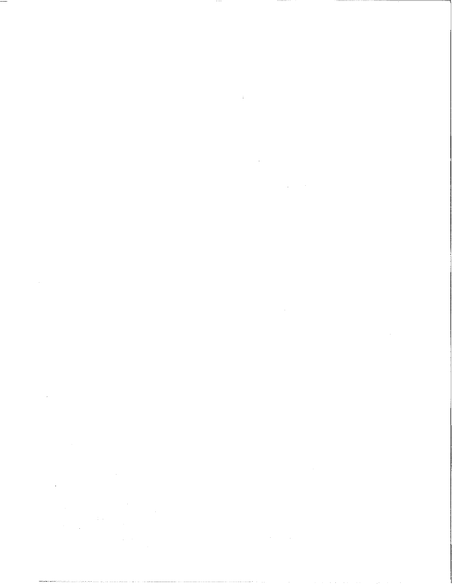$\label{eq:2.1} \mathcal{L} = \mathcal{L} \left( \mathcal{L} \right) \left( \mathcal{L} \right) \left( \mathcal{L} \right) \left( \mathcal{L} \right) \left( \mathcal{L} \right)$ 

 $\mathcal{L}(\mathcal{A})$  and  $\mathcal{L}(\mathcal{A})$ 

 $\label{eq:2.1} \begin{split} \mathcal{L}_{\text{max}}(\mathbf{r}) & = \frac{1}{2} \sum_{i=1}^{N} \mathcal{L}_{\text{max}}(\mathbf{r}) \mathcal{L}_{\text{max}}(\mathbf{r}) \\ & = \frac{1}{2} \sum_{i=1}^{N} \mathcal{L}_{\text{max}}(\mathbf{r}) \mathcal{L}_{\text{max}}(\mathbf{r}) \mathcal{L}_{\text{max}}(\mathbf{r}) \mathcal{L}_{\text{max}}(\mathbf{r}) \mathcal{L}_{\text{max}}(\mathbf{r}) \mathcal{L}_{\text{max}}(\mathbf{r}) \mathcal{L}_{\text{max}}(\mathbf$ 

the control of the state of the control of

 $\label{eq:2.1} \frac{1}{2} \sum_{i=1}^n \frac{1}{2} \sum_{j=1}^n \frac{1}{2} \sum_{j=1}^n \frac{1}{2} \sum_{j=1}^n \frac{1}{2} \sum_{j=1}^n \frac{1}{2} \sum_{j=1}^n \frac{1}{2} \sum_{j=1}^n \frac{1}{2} \sum_{j=1}^n \frac{1}{2} \sum_{j=1}^n \frac{1}{2} \sum_{j=1}^n \frac{1}{2} \sum_{j=1}^n \frac{1}{2} \sum_{j=1}^n \frac{1}{2} \sum_{j=1}^n \frac{$